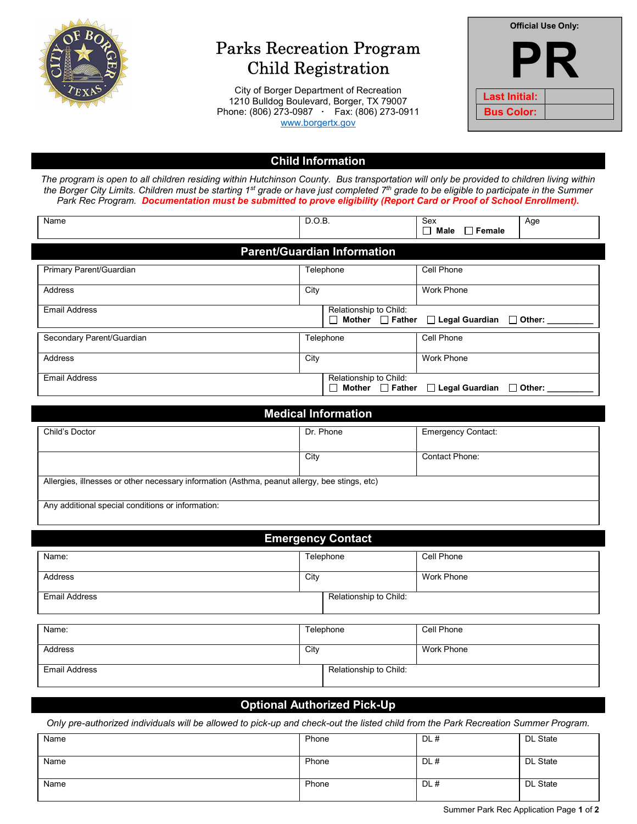

# Parks Recreation Program Child Registration

City of Borger Department of Recreation 1210 Bulldog Boulevard, Borger, TX 79007 Phone: (806) 273-0987 · Fax: (806) 273-0911 www.borgertx.gov

| <b>Official Use Only:</b> |  |  |  |
|---------------------------|--|--|--|
|                           |  |  |  |
| <b>Last Initial:</b>      |  |  |  |
| <b>Bus Color:</b>         |  |  |  |

## Child Information

The program is open to all children residing within Hutchinson County. Bus transportation will only be provided to children living within the Borger City Limits. Children must be starting 1<sup>st</sup> grade or have just completed 7<sup>th</sup> grade to be eligible to participate in the Summer Park Rec Program. Documentation must be submitted to prove eligibility (Report Card or Proof of School Enrollment).

| Name                               | D.O.B.                                                    | Sex<br>Age<br>$\Box$ Female<br>Male       |  |
|------------------------------------|-----------------------------------------------------------|-------------------------------------------|--|
| <b>Parent/Guardian Information</b> |                                                           |                                           |  |
| Primary Parent/Guardian            | Telephone                                                 | Cell Phone                                |  |
| Address                            | City                                                      | <b>Work Phone</b>                         |  |
| <b>Email Address</b>               | Relationship to Child:<br>$\Box$ Mother $\Box$ Father     | $\Box$ Legal Guardian $\Box$ Other:       |  |
| Secondary Parent/Guardian          | Telephone                                                 | Cell Phone                                |  |
| Address                            | City                                                      | <b>Work Phone</b>                         |  |
| <b>Email Address</b>               | Relationship to Child:<br>Mother $\Box$ Father<br>$\perp$ | $\Box$ Legal Guardian<br>$\square$ Other: |  |

| Child's Doctor | Dr. Phone                                                                                     | <b>Emergency Contact:</b> |  |
|----------------|-----------------------------------------------------------------------------------------------|---------------------------|--|
|                | City                                                                                          | <b>Contact Phone:</b>     |  |
|                | Allergies, illnesses or other necessary information (Asthma, peanut allergy, bee stings, etc) |                           |  |

| <b>Emergency Contact</b> |           |                        |            |
|--------------------------|-----------|------------------------|------------|
| Name:                    | Telephone |                        | Cell Phone |
| Address                  | City      |                        | Work Phone |
| <b>Email Address</b>     |           | Relationship to Child: |            |
| Name:                    |           | Telephone              | Cell Phone |
| Address                  | City      |                        | Work Phone |
| <b>Email Address</b>     |           | Relationship to Child: |            |

## Optional Authorized Pick-Up

Only pre-authorized individuals will be allowed to pick-up and check-out the listed child from the Park Recreation Summer Program.

| Name | Phone | DL# | DL State        |
|------|-------|-----|-----------------|
|      |       |     |                 |
| Name | Phone | DL# | DL State        |
|      |       |     |                 |
| Name | Phone | DL# | <b>DL State</b> |
|      |       |     |                 |